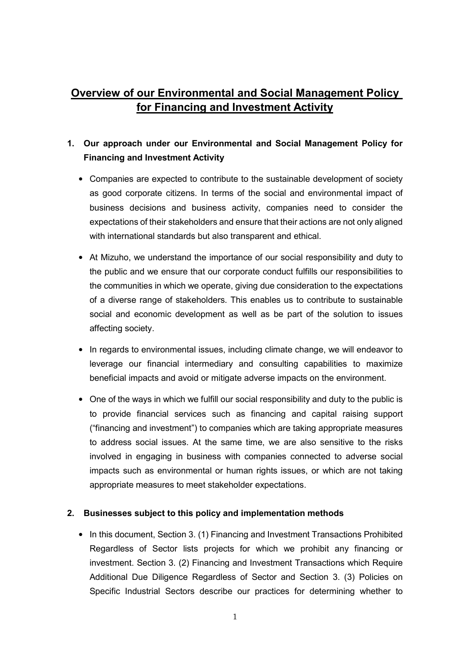# Overview of our Environmental and Social Management Policy for Financing and Investment Activity

## 1. Our approach under our Environmental and Social Management Policy for Financing and Investment Activity

- Companies are expected to contribute to the sustainable development of society as good corporate citizens. In terms of the social and environmental impact of business decisions and business activity, companies need to consider the expectations of their stakeholders and ensure that their actions are not only aligned with international standards but also transparent and ethical.
- At Mizuho, we understand the importance of our social responsibility and duty to the public and we ensure that our corporate conduct fulfills our responsibilities to the communities in which we operate, giving due consideration to the expectations of a diverse range of stakeholders. This enables us to contribute to sustainable social and economic development as well as be part of the solution to issues affecting society.
- In regards to environmental issues, including climate change, we will endeavor to leverage our financial intermediary and consulting capabilities to maximize beneficial impacts and avoid or mitigate adverse impacts on the environment.
- One of the ways in which we fulfill our social responsibility and duty to the public is to provide financial services such as financing and capital raising support ("financing and investment") to companies which are taking appropriate measures to address social issues. At the same time, we are also sensitive to the risks involved in engaging in business with companies connected to adverse social impacts such as environmental or human rights issues, or which are not taking appropriate measures to meet stakeholder expectations.

#### 2. Businesses subject to this policy and implementation methods

• In this document, Section 3. (1) Financing and Investment Transactions Prohibited Regardless of Sector lists projects for which we prohibit any financing or investment. Section 3. (2) Financing and Investment Transactions which Require Additional Due Diligence Regardless of Sector and Section 3. (3) Policies on Specific Industrial Sectors describe our practices for determining whether to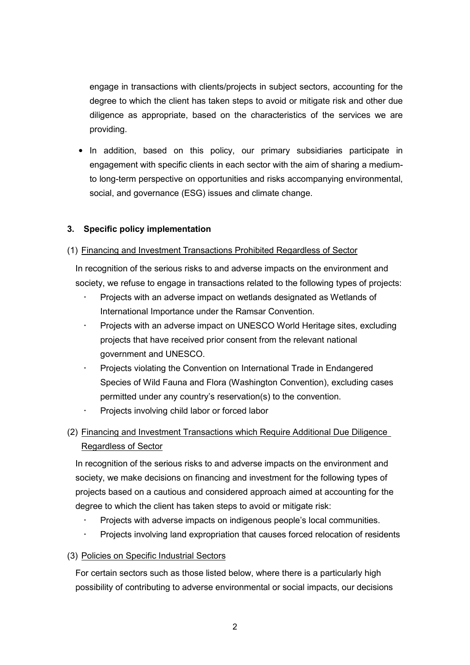engage in transactions with clients/projects in subject sectors, accounting for the degree to which the client has taken steps to avoid or mitigate risk and other due diligence as appropriate, based on the characteristics of the services we are providing.

• In addition, based on this policy, our primary subsidiaries participate in engagement with specific clients in each sector with the aim of sharing a mediumto long-term perspective on opportunities and risks accompanying environmental, social, and governance (ESG) issues and climate change.

## 3. Specific policy implementation

## (1) Financing and Investment Transactions Prohibited Regardless of Sector

In recognition of the serious risks to and adverse impacts on the environment and society, we refuse to engage in transactions related to the following types of projects:

- Projects with an adverse impact on wetlands designated as Wetlands of International Importance under the Ramsar Convention.
- Projects with an adverse impact on UNESCO World Heritage sites, excluding projects that have received prior consent from the relevant national government and UNESCO.
- Projects violating the Convention on International Trade in Endangered Species of Wild Fauna and Flora (Washington Convention), excluding cases permitted under any country's reservation(s) to the convention.
- Projects involving child labor or forced labor
- (2) Financing and Investment Transactions which Require Additional Due Diligence Regardless of Sector

In recognition of the serious risks to and adverse impacts on the environment and society, we make decisions on financing and investment for the following types of projects based on a cautious and considered approach aimed at accounting for the degree to which the client has taken steps to avoid or mitigate risk:

- Projects with adverse impacts on indigenous people's local communities.
- Projects involving land expropriation that causes forced relocation of residents

## (3) Policies on Specific Industrial Sectors

For certain sectors such as those listed below, where there is a particularly high possibility of contributing to adverse environmental or social impacts, our decisions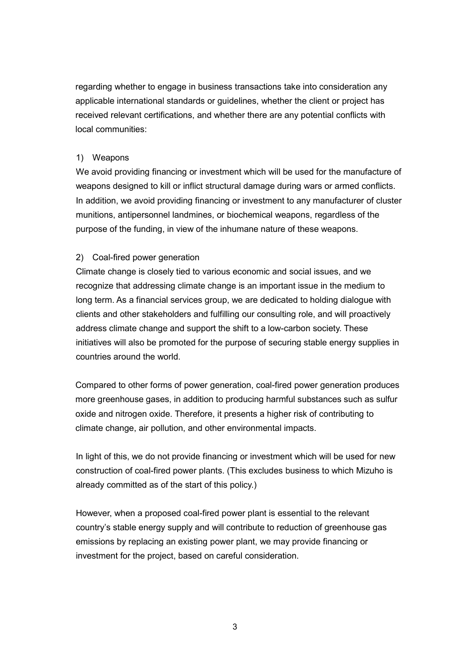regarding whether to engage in business transactions take into consideration any applicable international standards or guidelines, whether the client or project has received relevant certifications, and whether there are any potential conflicts with local communities:

#### 1) Weapons

We avoid providing financing or investment which will be used for the manufacture of weapons designed to kill or inflict structural damage during wars or armed conflicts. In addition, we avoid providing financing or investment to any manufacturer of cluster munitions, antipersonnel landmines, or biochemical weapons, regardless of the purpose of the funding, in view of the inhumane nature of these weapons.

#### 2) Coal-fired power generation

Climate change is closely tied to various economic and social issues, and we recognize that addressing climate change is an important issue in the medium to long term. As a financial services group, we are dedicated to holding dialogue with clients and other stakeholders and fulfilling our consulting role, and will proactively address climate change and support the shift to a low-carbon society. These initiatives will also be promoted for the purpose of securing stable energy supplies in countries around the world.

Compared to other forms of power generation, coal-fired power generation produces more greenhouse gases, in addition to producing harmful substances such as sulfur oxide and nitrogen oxide. Therefore, it presents a higher risk of contributing to climate change, air pollution, and other environmental impacts.

In light of this, we do not provide financing or investment which will be used for new construction of coal-fired power plants. (This excludes business to which Mizuho is already committed as of the start of this policy.)

However, when a proposed coal-fired power plant is essential to the relevant country's stable energy supply and will contribute to reduction of greenhouse gas emissions by replacing an existing power plant, we may provide financing or investment for the project, based on careful consideration.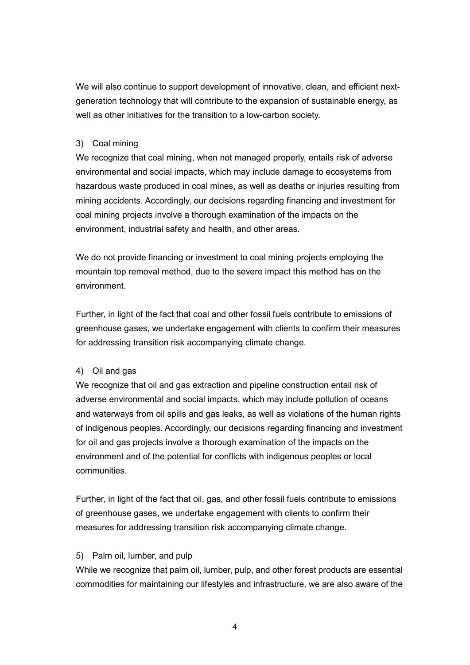We will also continue to support development of innovative, clean, and efficient nextgeneration technology that will contribute to the expansion of sustainable energy, as well as other initiatives for the transition to a low-carbon society.

#### 3) Coal mining

We recognize that coal mining, when not managed properly, entails risk of adverse environmental and social impacts, which may include damage to ecosystems from hazardous waste produced in coal mines, as well as deaths or injuries resulting from mining accidents. Accordingly, our decisions regarding financing and investment for coal mining projects involve a thorough examination of the impacts on the environment, industrial safety and health, and other areas.

We do not provide financing or investment to coal mining projects employing the mountain top removal method, due to the severe impact this method has on the environment.

Further, in light of the fact that coal and other fossil fuels contribute to emissions of greenhouse gases, we undertake engagement with clients to confirm their measures for addressing transition risk accompanying climate change.

#### 4) Oil and gas

We recognize that oil and gas extraction and pipeline construction entail risk of adverse environmental and social impacts, which may include pollution of oceans and waterways from oil spills and gas leaks, as well as violations of the human rights of indigenous peoples. Accordingly, our decisions regarding financing and investment for oil and gas projects involve a thorough examination of the impacts on the environment and of the potential for conflicts with indigenous peoples or local communities.

Further, in light of the fact that oil, gas, and other fossil fuels contribute to emissions of greenhouse gases, we undertake engagement with clients to confirm their measures for addressing transition risk accompanying climate change.

#### 5) Palm oil, lumber, and pulp

While we recognize that palm oil, lumber, pulp, and other forest products are essential commodities for maintaining our lifestyles and infrastructure, we are also aware of the

4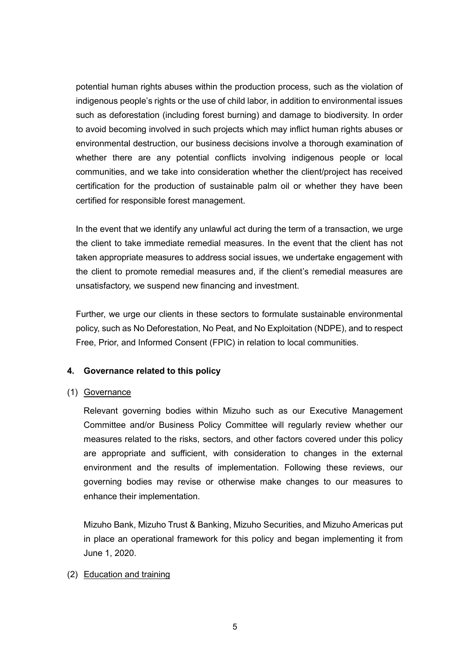potential human rights abuses within the production process, such as the violation of indigenous people's rights or the use of child labor, in addition to environmental issues such as deforestation (including forest burning) and damage to biodiversity. In order to avoid becoming involved in such projects which may inflict human rights abuses or environmental destruction, our business decisions involve a thorough examination of whether there are any potential conflicts involving indigenous people or local communities, and we take into consideration whether the client/project has received certification for the production of sustainable palm oil or whether they have been certified for responsible forest management.

In the event that we identify any unlawful act during the term of a transaction, we urge the client to take immediate remedial measures. In the event that the client has not taken appropriate measures to address social issues, we undertake engagement with the client to promote remedial measures and, if the client's remedial measures are unsatisfactory, we suspend new financing and investment.

Further, we urge our clients in these sectors to formulate sustainable environmental policy, such as No Deforestation, No Peat, and No Exploitation (NDPE), and to respect Free, Prior, and Informed Consent (FPIC) in relation to local communities.

#### 4. Governance related to this policy

#### (1) Governance

Relevant governing bodies within Mizuho such as our Executive Management Committee and/or Business Policy Committee will regularly review whether our measures related to the risks, sectors, and other factors covered under this policy are appropriate and sufficient, with consideration to changes in the external environment and the results of implementation. Following these reviews, our governing bodies may revise or otherwise make changes to our measures to enhance their implementation.

Mizuho Bank, Mizuho Trust & Banking, Mizuho Securities, and Mizuho Americas put in place an operational framework for this policy and began implementing it from June 1, 2020.

#### (2) Education and training